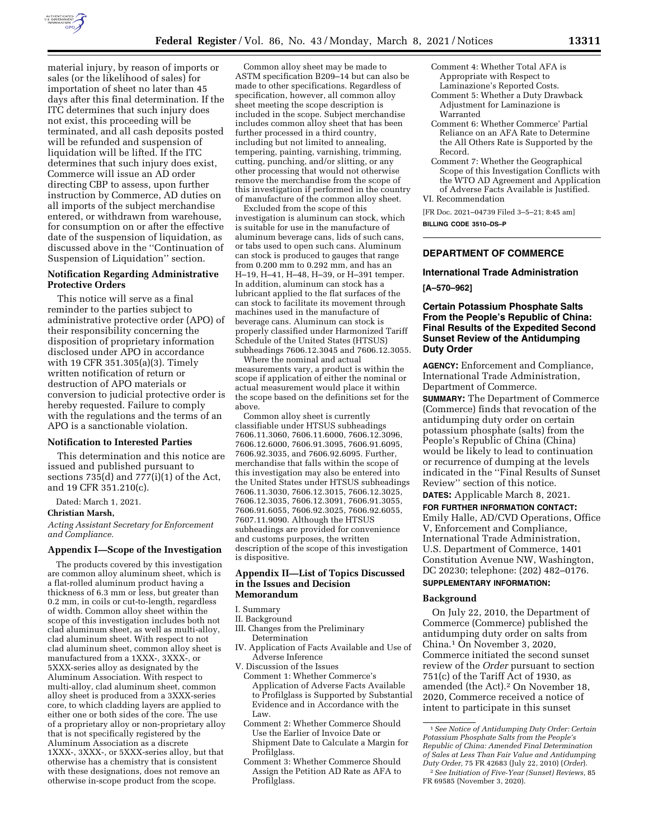

material injury, by reason of imports or sales (or the likelihood of sales) for importation of sheet no later than 45 days after this final determination. If the ITC determines that such injury does not exist, this proceeding will be terminated, and all cash deposits posted will be refunded and suspension of liquidation will be lifted. If the ITC determines that such injury does exist, Commerce will issue an AD order directing CBP to assess, upon further instruction by Commerce, AD duties on all imports of the subject merchandise entered, or withdrawn from warehouse, for consumption on or after the effective date of the suspension of liquidation, as discussed above in the ''Continuation of Suspension of Liquidation'' section.

# **Notification Regarding Administrative Protective Orders**

This notice will serve as a final reminder to the parties subject to administrative protective order (APO) of their responsibility concerning the disposition of proprietary information disclosed under APO in accordance with 19 CFR 351.305(a)(3). Timely written notification of return or destruction of APO materials or conversion to judicial protective order is hereby requested. Failure to comply with the regulations and the terms of an APO is a sanctionable violation.

# **Notification to Interested Parties**

This determination and this notice are issued and published pursuant to sections 735(d) and 777(i)(1) of the Act, and 19 CFR 351.210(c).

Dated: March 1, 2021.

#### **Christian Marsh,**

*Acting Assistant Secretary for Enforcement and Compliance.* 

#### **Appendix I—Scope of the Investigation**

The products covered by this investigation are common alloy aluminum sheet, which is a flat-rolled aluminum product having a thickness of 6.3 mm or less, but greater than 0.2 mm, in coils or cut-to-length, regardless of width. Common alloy sheet within the scope of this investigation includes both not clad aluminum sheet, as well as multi-alloy, clad aluminum sheet. With respect to not clad aluminum sheet, common alloy sheet is manufactured from a 1XXX-, 3XXX-, or 5XXX-series alloy as designated by the Aluminum Association. With respect to multi-alloy, clad aluminum sheet, common alloy sheet is produced from a 3XXX-series core, to which cladding layers are applied to either one or both sides of the core. The use of a proprietary alloy or non-proprietary alloy that is not specifically registered by the Aluminum Association as a discrete 1XXX-, 3XXX-, or 5XXX-series alloy, but that otherwise has a chemistry that is consistent with these designations, does not remove an otherwise in-scope product from the scope.

Common alloy sheet may be made to ASTM specification B209–14 but can also be made to other specifications. Regardless of specification, however, all common alloy sheet meeting the scope description is included in the scope. Subject merchandise includes common alloy sheet that has been further processed in a third country, including but not limited to annealing, tempering, painting, varnishing, trimming, cutting, punching, and/or slitting, or any other processing that would not otherwise remove the merchandise from the scope of this investigation if performed in the country of manufacture of the common alloy sheet.

Excluded from the scope of this investigation is aluminum can stock, which is suitable for use in the manufacture of aluminum beverage cans, lids of such cans, or tabs used to open such cans. Aluminum can stock is produced to gauges that range from 0.200 mm to 0.292 mm, and has an H–19, H–41, H–48, H–39, or H–391 temper. In addition, aluminum can stock has a lubricant applied to the flat surfaces of the can stock to facilitate its movement through machines used in the manufacture of beverage cans. Aluminum can stock is properly classified under Harmonized Tariff Schedule of the United States (HTSUS) subheadings 7606.12.3045 and 7606.12.3055.

Where the nominal and actual measurements vary, a product is within the scope if application of either the nominal or actual measurement would place it within the scope based on the definitions set for the above.

Common alloy sheet is currently classifiable under HTSUS subheadings 7606.11.3060, 7606.11.6000, 7606.12.3096, 7606.12.6000, 7606.91.3095, 7606.91.6095, 7606.92.3035, and 7606.92.6095. Further, merchandise that falls within the scope of this investigation may also be entered into the United States under HTSUS subheadings 7606.11.3030, 7606.12.3015, 7606.12.3025, 7606.12.3035, 7606.12.3091, 7606.91.3055, 7606.91.6055, 7606.92.3025, 7606.92.6055, 7607.11.9090. Although the HTSUS subheadings are provided for convenience and customs purposes, the written description of the scope of this investigation is dispositive.

# **Appendix II—List of Topics Discussed in the Issues and Decision Memorandum**

I. Summary

- II. Background
- III. Changes from the Preliminary Determination
- Application of Facts Available and Use of Adverse Inference
- V. Discussion of the Issues Comment 1: Whether Commerce's Application of Adverse Facts Available to Profilglass is Supported by Substantial Evidence and in Accordance with the Law.
	- Comment 2: Whether Commerce Should Use the Earlier of Invoice Date or Shipment Date to Calculate a Margin for Profilglass.
	- Comment 3: Whether Commerce Should Assign the Petition AD Rate as AFA to Profilglass.
- Comment 4: Whether Total AFA is Appropriate with Respect to Laminazione's Reported Costs.
- Comment 5: Whether a Duty Drawback Adjustment for Laminazione is Warranted
- Comment 6: Whether Commerce' Partial Reliance on an AFA Rate to Determine the All Others Rate is Supported by the Record.
- Comment 7: Whether the Geographical Scope of this Investigation Conflicts with the WTO AD Agreement and Application of Adverse Facts Available is Justified.

VI. Recommendation

[FR Doc. 2021–04739 Filed 3–5–21; 8:45 am] **BILLING CODE 3510–DS–P** 

# **DEPARTMENT OF COMMERCE**

# **International Trade Administration**

#### **[A–570–962]**

# **Certain Potassium Phosphate Salts From the People's Republic of China: Final Results of the Expedited Second Sunset Review of the Antidumping Duty Order**

**AGENCY:** Enforcement and Compliance, International Trade Administration, Department of Commerce.

**SUMMARY:** The Department of Commerce (Commerce) finds that revocation of the antidumping duty order on certain potassium phosphate (salts) from the People's Republic of China (China) would be likely to lead to continuation or recurrence of dumping at the levels indicated in the ''Final Results of Sunset Review'' section of this notice.

**DATES:** Applicable March 8, 2021. **FOR FURTHER INFORMATION CONTACT:**  Emily Halle, AD/CVD Operations, Office V, Enforcement and Compliance, International Trade Administration, U.S. Department of Commerce, 1401 Constitution Avenue NW, Washington, DC 20230; telephone: (202) 482–0176. **SUPPLEMENTARY INFORMATION:** 

#### **Background**

On July 22, 2010, the Department of Commerce (Commerce) published the antidumping duty order on salts from China.1 On November 3, 2020, Commerce initiated the second sunset review of the *Order* pursuant to section 751(c) of the Tariff Act of 1930, as amended (the Act).<sup>2</sup> On November 18, 2020, Commerce received a notice of intent to participate in this sunset

<sup>1</sup>*See Notice of Antidumping Duty Order: Certain Potassium Phosphate Salts from the People's Republic of China: Amended Final Determination of Sales at Less Than Fair Value and Antidumping Duty Order,* 75 FR 42683 (July 22, 2010) (*Order*).

<sup>2</sup>*See Initiation of Five-Year (Sunset) Reviews,* 85 FR 69585 (November 3, 2020).